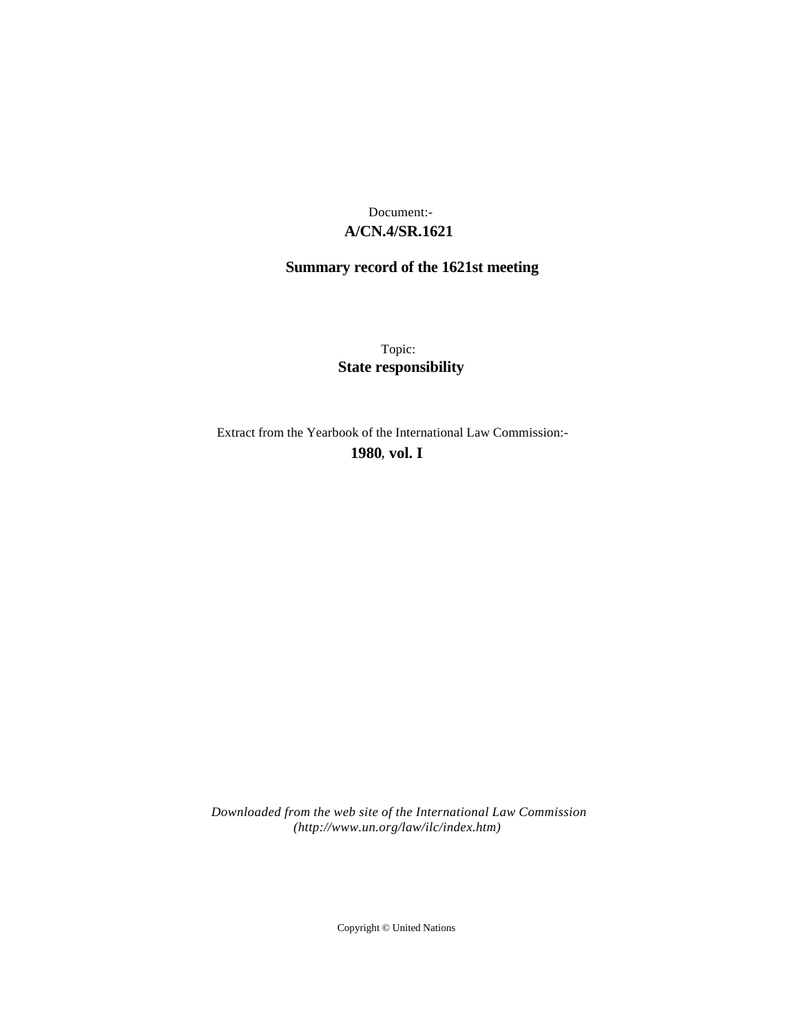## **A/CN.4/SR.1621** Document:-

# **Summary record of the 1621st meeting**

Topic: **State responsibility**

Extract from the Yearbook of the International Law Commission:-

**1980** , **vol. I**

*Downloaded from the web site of the International Law Commission (http://www.un.org/law/ilc/index.htm)*

Copyright © United Nations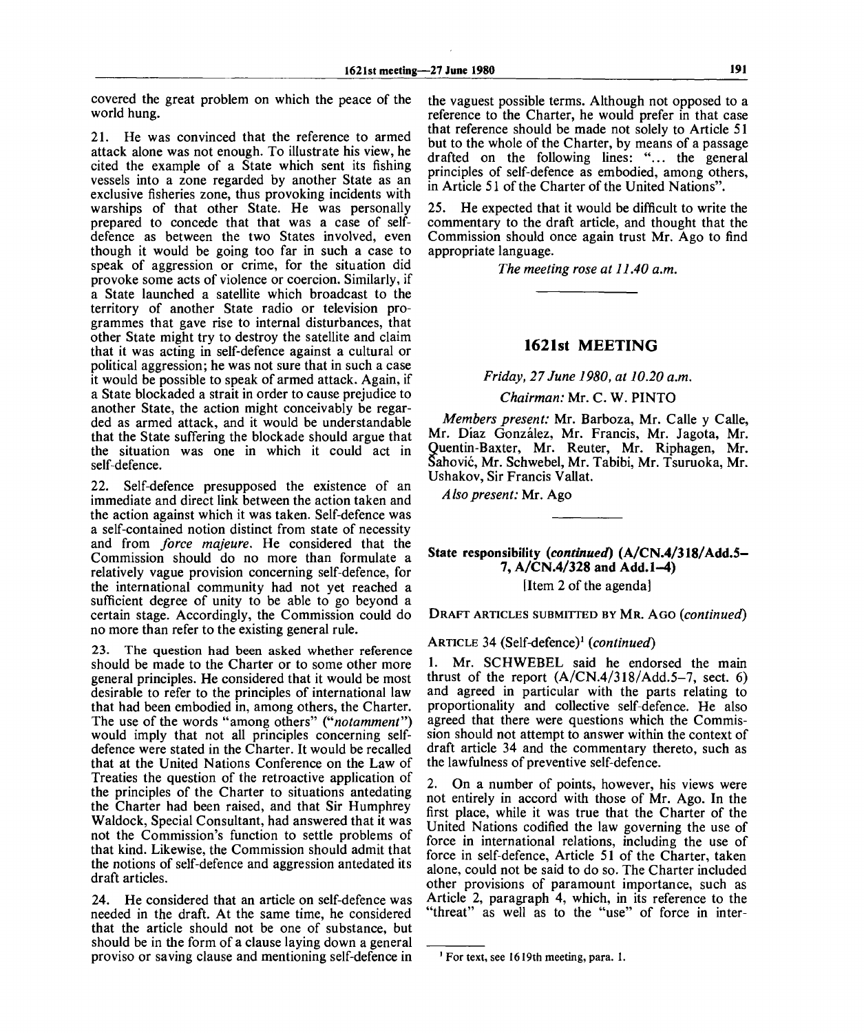covered the great problem on which the peace of the world hung.

21. He was convinced that the reference to armed attack alone was not enough. To illustrate his view, he cited the example of a State which sent its fishing vessels into a zone regarded by another State as an exclusive fisheries zone, thus provoking incidents with warships of that other State. He was personally prepared to concede that that was a case of selfdefence as between the two States involved, even though it would be going too far in such a case to speak of aggression or crime, for the situation did provoke some acts of violence or coercion. Similarly, if a State launched a satellite which broadcast to the territory of another State radio or television programmes that gave rise to internal disturbances, that other State might try to destroy the satellite and claim that it was acting in self-defence against a cultural or political aggression; he was not sure that in such a case it would be possible to speak of armed attack. Again, if a State blockaded a strait in order to cause prejudice to another State, the action might conceivably be regarded as armed attack, and it would be understandable that the State suffering the blockade should argue that the situation was one in which it could act in self-defence.

22. Self-defence presupposed the existence of an immediate and direct link between the action taken and the action against which it was taken. Self-defence was a self-contained notion distinct from state of necessity and from *force majeure.* He considered that the Commission should do no more than formulate a relatively vague provision concerning self-defence, for the international community had not yet reached a sufficient degree of unity to be able to go beyond a certain stage. Accordingly, the Commission could do no more than refer to the existing general rule.

23. The question had been asked whether reference should be made to the Charter or to some other more general principles. He considered that it would be most desirable to refer to the principles of international law that had been embodied in, among others, the Charter. The use of the words "among others" ("*notamment")* would imply that not all principles concerning selfdefence were stated in the Charter. It would be recalled that at the United Nations Conference on the Law of Treaties the question of the retroactive application of the principles of the Charter to situations antedating the Charter had been raised, and that Sir Humphrey Waldock, Special Consultant, had answered that it was not the Commission's function to settle problems of that kind. Likewise, the Commission should admit that the notions of self-defence and aggression antedated its draft articles.

24. He considered that an article on self-defence was needed in the draft. At the same time, he considered that the article should not be one of substance, but should be in the form of a clause laying down a general proviso or saving clause and mentioning self-defence in

the vaguest possible terms. Although not opposed to a reference to the Charter, he would prefer in that case that reference should be made not solely to Article 51 but to the whole of the Charter, by means of a passage drafted on the following lines: "... the general principles of self-defence as embodied, among others, in Article 51 of the Charter of the United Nations".

25. He expected that it would be difficult to write the commentary to the draft article, and thought that the Commission should once again trust Mr. Ago to find appropriate language.

*The meeting rose at 11.40 a.m.*

#### **1621st MEETING**

*Friday, 27 June 1980, at 10.20 a.m.*

*Chairman:* Mr. C. W. PINTO

*Members present:* Mr. Barboza, Mr. Calle y Calle, Mr. Diaz Gonzalez, Mr. Francis, Mr. Jagota, Mr. Quentin-Baxter, Mr. Reuter, Mr. Riphagen, Mr. Sahovic, Mr. Schwebel, Mr. Tabibi, Mr. Tsuruoka, Mr. Ushakov, Sir Francis Vallat.

*Also present:* Mr. Ago

**State responsibility** *(continued)* **(A/CN.4/318/Add.5- 7, A/CN.4/328 and Add. 1-4)**

[Item 2 of the agenda]

DRAFT ARTICLES SUBMITTED BY MR. AGO *(continued)*

ARTICLE 34 (Self-defence)<sup>1</sup>  *(continued)*

1. Mr. SCHWEBEL said he endorsed the main thrust of the report  $(A/CN.4/318/Add.5-7$ , sect. 6) and agreed in particular with the parts relating to proportionality and collective self-defence. He also agreed that there were questions which the Commission should not attempt to answer within the context of draft article 34 and the commentary thereto, such as the lawfulness of preventive self-defence.

2. On a number of points, however, his views were not entirely in accord with those of Mr. Ago. In the first place, while it was true that the Charter of the United Nations codified the law governing the use of force in international relations, including the use of force in self-defence, Article 51 of the Charter, taken alone, could not be said to do so. The Charter included other provisions of paramount importance, such as Article 2, paragraph 4, which, in its reference to the "threat" as well as to the "use" of force in inter-

**<sup>1</sup> For text, see 1619th meeting, para. 1.**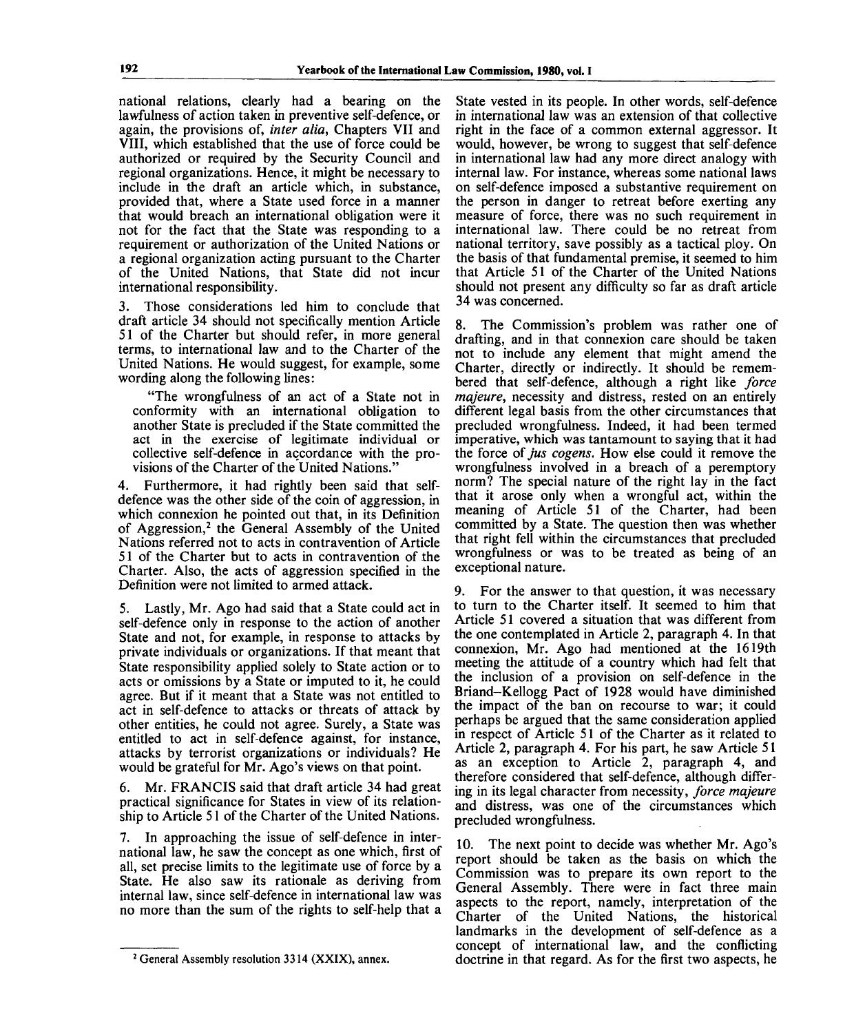national relations, clearly had a bearing on the lawfulness of action taken in preventive self-defence, or again, the provisions of, *inter alia,* Chapters VII and VIII, which established that the use of force could be authorized or required by the Security Council and regional organizations. Hence, it might be necessary to include in the draft an article which, in substance, provided that, where a State used force in a manner that would breach an international obligation were it not for the fact that the State was responding to a requirement or authorization of the United Nations or a regional organization acting pursuant to the Charter of the United Nations, that State did not incur international responsibility.

3. Those considerations led him to conclude that draft article 34 should not specifically mention Article 51 of the Charter but should refer, in more general terms, to international law and to the Charter of the United Nations. He would suggest, for example, some wording along the following lines:

"The wrongfulness of an act of a State not in conformity with an international obligation to another State is precluded if the State committed the act in the exercise of legitimate individual or collective self-defence in accordance with the provisions of the Charter of the United Nations."

4. Furthermore, it had rightly been said that selfdefence was the other side of the coin of aggression, in which connexion he pointed out that, in its Definition of Aggression,<sup>2</sup> the General Assembly of the United Nations referred not to acts in contravention of Article 51 of the Charter but to acts in contravention of the Charter. Also, the acts of aggression specified in the Definition were not limited to armed attack.

5. Lastly, Mr. Ago had said that a State could act in self-defence only in response to the action of another State and not, for example, in response to attacks by private individuals or organizations. If that meant that State responsibility applied solely to State action or to acts or omissions by a State or imputed to it, he could agree. But if it meant that a State was not entitled to act in self-defence to attacks or threats of attack by other entities, he could not agree. Surely, a State was entitled to act in self-defence against, for instance, attacks by terrorist organizations or individuals? He would be grateful for Mr. Ago's views on that point.

Mr. FRANCIS said that draft article 34 had great practical significance for States in view of its relationship to Article 51 of the Charter of the United Nations.

7. In approaching the issue of self-defence in international law, he saw the concept as one which, first of all, set precise limits to the legitimate use of force by a State. He also saw its rationale as deriving from internal law, since self-defence in international law was no more than the sum of the rights to self-help that a

State vested in its people. In other words, self-defence in international law was an extension of that collective right in the face of a common external aggressor. It would, however, be wrong to suggest that self-defence in international law had any more direct analogy with internal law. For instance, whereas some national laws on self-defence imposed a substantive requirement on the person in danger to retreat before exerting any measure of force, there was no such requirement in international law. There could be no retreat from national territory, save possibly as a tactical ploy. On the basis of that fundamental premise, it seemed to him that Article 51 of the Charter of the United Nations should not present any difficulty so far as draft article 34 was concerned.

8. The Commission's problem was rather one of drafting, and in that connexion care should be taken not to include any element that might amend the Charter, directly or indirectly. It should be remembered that self-defence, although a right like *force majeure,* necessity and distress, rested on an entirely different legal basis from the other circumstances that precluded wrongfulness. Indeed, it had been termed imperative, which was tantamount to saying that it had the force of *jus cogens.* How else could it remove the wrongfulness involved in a breach of a peremptory norm? The special nature of the right lay in the fact that it arose only when a wrongful act, within the meaning of Article 51 of the Charter, had been committed by a State. The question then was whether that right fell within the circumstances that precluded wrongfulness or was to be treated as being of an exceptional nature.

9. For the answer to that question, it was necessary to turn to the Charter itself. It seemed to him that Article 51 covered a situation that was different from the one contemplated in Article 2, paragraph 4. In that connexion, Mr. Ago had mentioned at the 1619th meeting the attitude of a country which had felt that the inclusion of a provision on self-defence in the Briand-Kellogg Pact of 1928 would have diminished the impact of the ban on recourse to war; it could perhaps be argued that the same consideration applied in respect of Article 51 of the Charter as it related to Article 2, paragraph 4. For his part, he saw Article 51 as an exception to Article 2, paragraph 4, and therefore considered that self-defence, although differing in its legal character from necessity, *force majeure* and distress, was one of the circumstances which precluded wrongfulness.

10. The next point to decide was whether Mr. Ago's report should be taken as the basis on which the Commission was to prepare its own report to the General Assembly. There were in fact three main aspects to the report, namely, interpretation of the Charter of the United Nations, the historical landmarks in the development of self-defence as a concept of international law, and the conflicting doctrine in that regard. As for the first two aspects, he

<sup>&</sup>lt;sup>2</sup> General Assembly resolution 3314 (XXIX), annex.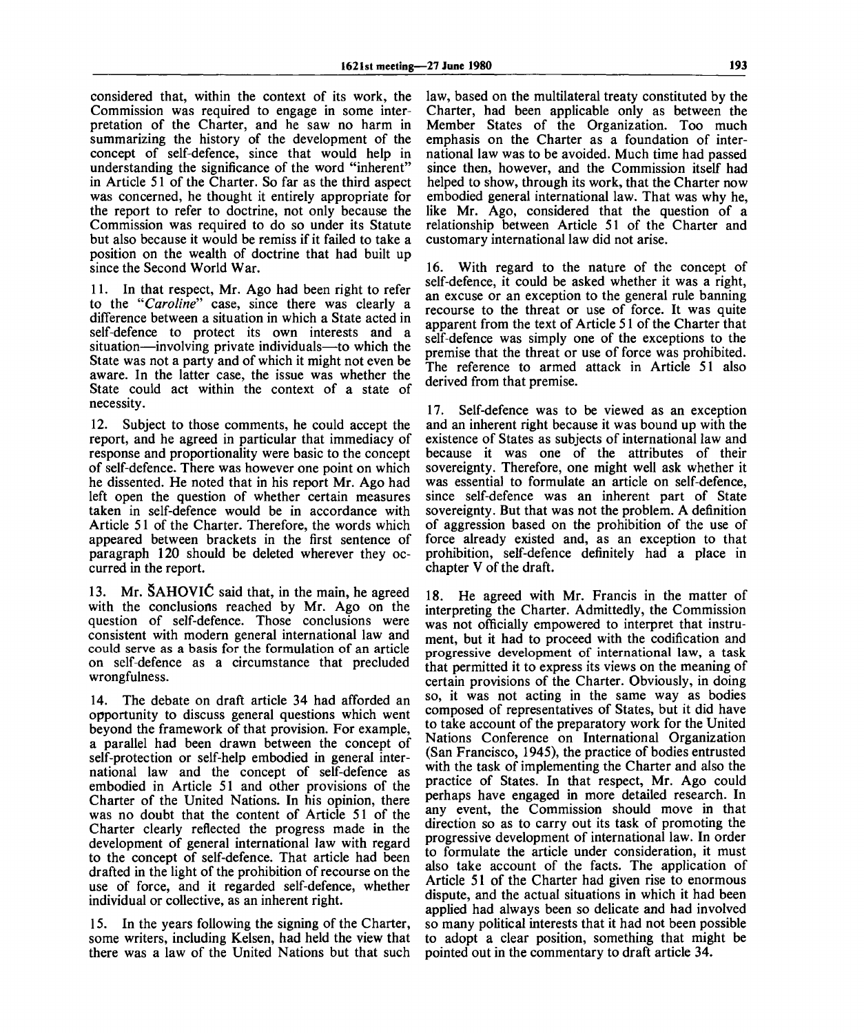considered that, within the context of its work, the Commission was required to engage in some interpretation of the Charter, and he saw no harm in summarizing the history of the development of the concept of self-defence, since that would help in understanding the significance of the word "inherent" in Article 51 of the Charter. So far as the third aspect was concerned, he thought it entirely appropriate for the report to refer to doctrine, not only because the Commission was required to do so under its Statute but also because it would be remiss if it failed to take a position on the wealth of doctrine that had built up since the Second World War.

11. In that respect, Mr. Ago had been right to refer to the *"Caroline"* case, since there was clearly a difference between a situation in which a State acted in self-defence to protect its own interests and a situation—involving private individuals—to which the State was not a party and of which it might not even be aware. In the latter case, the issue was whether the State could act within the context of a state of necessity.

12. Subject to those comments, he could accept the report, and he agreed in particular that immediacy of response and proportionality were basic to the concept of self-defence. There was however one point on which he dissented. He noted that in his report Mr. Ago had left open the question of whether certain measures taken in self-defence would be in accordance with Article 51 of the Charter. Therefore, the words which appeared between brackets in the first sentence of paragraph 120 should be deleted wherever they occurred in the report.

13. Mr. SAHOVlC said that, in the main, he agreed with the conclusions reached by Mr. Ago on the question of self-defence. Those conclusions were consistent with modern general international law and could serve as a basis for the formulation of an article on self-defence as a circumstance that precluded wrongfulness.

14. The debate on draft article 34 had afforded an opportunity to discuss general questions which went beyond the framework of that provision. For example, a parallel had been drawn between the concept of self-protection or self-help embodied in general international law and the concept of self-defence as embodied in Article 51 and other provisions of the Charter of the United Nations. In his opinion, there was no doubt that the content of Article 51 of the Charter clearly reflected the progress made in the development of general international law with regard to the concept of self-defence. That article had been drafted in the light of the prohibition of recourse on the use of force, and it regarded self-defence, whether individual or collective, as an inherent right.

15. In the years following the signing of the Charter, some writers, including Kelsen, had held the view that there was a law of the United Nations but that such

law, based on the multilateral treaty constituted by the Charter, had been applicable only as between the Member States of the Organization. Too much emphasis on the Charter as a foundation of international law was to be avoided. Much time had passed since then, however, and the Commission itself had helped to show, through its work, that the Charter now embodied general international law. That was why he, like Mr. Ago, considered that the question of a relationship between Article 51 of the Charter and customary international law did not arise.

16. With regard to the nature of the concept of self-defence, it could be asked whether it was a right, an excuse or an exception to the general rule banning recourse to the threat or use of force. It was quite apparent from the text of Article 51 of the Charter that self-defence was simply one of the exceptions to the premise that the threat or use of force was prohibited. The reference to armed attack in Article 51 also derived from that premise.

17. Self-defence was to be viewed as an exception and an inherent right because it was bound up with the existence of States as subjects of international law and because it was one of the attributes of their sovereignty. Therefore, one might well ask whether it was essential to formulate an article on self-defence, since self-defence was an inherent part of State sovereignty. But that was not the problem. A definition of aggression based on the prohibition of the use of force already existed and, as an exception to that prohibition, self-defence definitely had a place in chapter V of the draft.

18. He agreed with Mr. Francis in the matter of interpreting the Charter. Admittedly, the Commission was not officially empowered to interpret that instrument, but it had to proceed with the codification and progressive development of international law, a task that permitted it to express its views on the meaning of certain provisions of the Charter. Obviously, in doing so, it was not acting in the same way as bodies composed of representatives of States, but it did have to take account of the preparatory work for the United Nations Conference on International Organization (San Francisco, 1945), the practice of bodies entrusted with the task of implementing the Charter and also the practice of States. In that respect, Mr. Ago could perhaps have engaged in more detailed research. In any event, the Commission should move in that direction so as to carry out its task of promoting the progressive development of international law. In order to formulate the article under consideration, it must also take account of the facts. The application of Article 51 of the Charter had given rise to enormous dispute, and the actual situations in which it had been applied had always been so delicate and had involved so many political interests that it had not been possible to adopt a clear position, something that might be pointed out in the commentary to draft article 34.